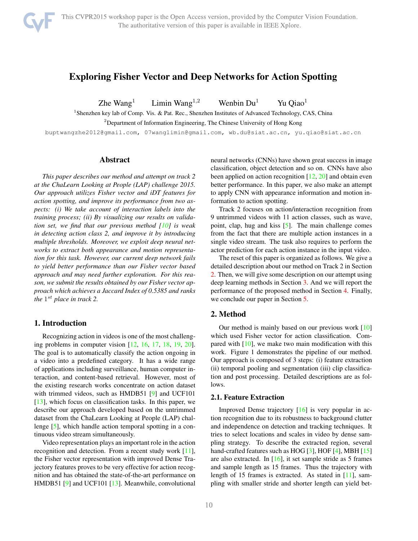# Exploring Fisher Vector and Deep Networks for Action Spotting

Zhe Wang<sup>1</sup> Limin Wang<sup>1,2</sup> Wenbin Du<sup>1</sup> Yu Qiao<sup>1</sup>

<sup>1</sup> Shenzhen key lab of Comp. Vis. & Pat. Rec., Shenzhen Institutes of Advanced Technology, CAS, China

<sup>2</sup>Department of Information Engineering, The Chinese University of Hong Kong

buptwangzhe2012@gmail.com, 07wanglimin@gmail.com, wb.du@siat.ac.cn, yu.qiao@siat.ac.cn

## Abstract

*This paper describes our method and attempt on track 2 at the ChaLearn Looking at People (LAP) challenge 2015. Our approach utilizes Fisher vector and iDT features for action spotting, and improve its performance from two aspects: (i) We take account of interaction labels into the training process; (ii) By visualizing our results on validation set, we find that our previous method [10] is weak in detecting action class 2, and improve it by introducing multiple thresholds. Moreover, we exploit deep neural networks to extract both appearance and motion representation for this task. However, our current deep network fails to yield better performance than our Fisher vector based approach and may need further exploration. For this reason, we submit the results obtained by our Fisher vector approach which achieves a Jaccard Index of 0.5385 and ranks the* 1 *st place in track 2.*

# 1. Introduction

Recognizing action in videos is one of the most challenging problems in computer vision [12, 16, 17, 18, 19, 20]. The goal is to automatically classify the action ongoing in a video into a predefined category. It has a wide range of applications including surveillance, human computer interaction, and content-based retrieval. However, most of the existing research works concentrate on action dataset with trimmed videos, such as HMDB51 [9] and UCF101 [13], which focus on classification tasks. In this paper, we describe our approach developed based on the untrimmed dataset from the ChaLearn Looking at People (LAP) challenge [5], which handle action temporal spotting in a continuous video stream simultaneously.

Video representation plays an important role in the action recognition and detection. From a recent study work [11], the Fisher vector representation with improved Dense Trajectory features proves to be very effective for action recognition and has obtained the state-of-the-art performance on HMDB51 [9] and UCF101 [13]. Meanwhile, convolutional neural networks (CNNs) have shown great success in image classification, object detection and so on. CNNs have also been applied on action recognition  $[12, 20]$  and obtain even better performance. In this paper, we also make an attempt to apply CNN with appearance information and motion information to action spotting.

Track 2 focuses on action/interaction recognition from 9 untrimmed videos with 11 action classes, such as wave, point, clap, hug and kiss [5]. The main challenge comes from the fact that there are multiple action instances in a single video stream. The task also requires to perform the actor prediction for each action instance in the input video.

The reset of this paper is organized as follows. We give a detailed description about our method on Track 2 in Section 2. Then, we will give some description on our attempt using deep learning methods in Section 3. And we will report the performance of the proposed method in Section 4. Finally, we conclude our paper in Section 5.

# 2. Method

Our method is mainly based on our previous work [10] which used Fisher vector for action classification. Compared with  $[10]$ , we make two main modification with this work. Figure 1 demonstrates the pipeline of our method. Our approach is composed of 3 steps: (i) feature extraction (ii) temporal pooling and segmentation (iii) clip classification and post processing. Detailed descriptions are as follows.

### 2.1. Feature Extraction

Improved Dense trajectory [16] is very popular in action recognition due to its robustness to background clutter and independence on detection and tracking techniques. It tries to select locations and scales in video by dense sampling strategy. To describe the extracted region, several hand-crafted features such as HOG [3], HOF [4], MBH [15] are also extracted. In  $[16]$ , it set sample stride as 5 frames and sample length as 15 frames. Thus the trajectory with length of 15 frames is extracted. As stated in [11], sampling with smaller stride and shorter length can yield bet-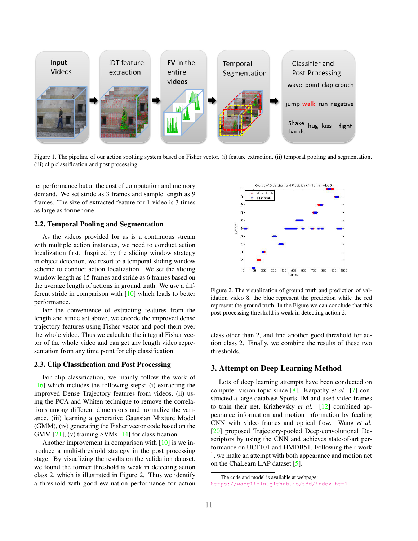

Figure 1. The pipeline of our action spotting system based on Fisher vector. (i) feature extraction, (ii) temporal pooling and segmentation, (iii) clip classification and post processing.

ter performance but at the cost of computation and memory demand. We set stride as 3 frames and sample length as 9 frames. The size of extracted feature for 1 video is 3 times as large as former one.

# 2.2. Temporal Pooling and Segmentation

As the videos provided for us is a continuous stream with multiple action instances, we need to conduct action localization first. Inspired by the sliding window strategy in object detection, we resort to a temporal sliding window scheme to conduct action localization. We set the sliding window length as 15 frames and stride as 6 frames based on the average length of actions in ground truth. We use a different stride in comparison with [10] which leads to better performance.

For the convenience of extracting features from the length and stride set above, we encode the improved dense trajectory features using Fisher vector and pool them over the whole video. Thus we calculate the integral Fisher vector of the whole video and can get any length video representation from any time point for clip classification.

### 2.3. Clip Classification and Post Processing

For clip classification, we mainly follow the work of  $[16]$  which includes the following steps: (i) extracting the improved Dense Trajectory features from videos, (ii) using the PCA and Whiten technique to remove the correlations among different dimensions and normalize the variance, (iii) learning a generative Gaussian Mixture Model (GMM), (iv) generating the Fisher vector code based on the GMM  $[21]$ , (v) training SVMs  $[14]$  for classification.

Another improvement in comparison with [10] is we introduce a multi-threshold strategy in the post processing stage. By visualizing the results on the validation dataset. we found the former threshold is weak in detecting action class 2, which is illustrated in Figure 2. Thus we identify a threshold with good evaluation performance for action



Figure 2. The visualization of ground truth and prediction of validation video 8, the blue represent the prediction while the red represent the ground truth. In the Figure we can conclude that this post-processing threshold is weak in detecting action 2.

class other than 2, and find another good threshold for action class 2. Finally, we combine the results of these two thresholds.

# 3. Attempt on Deep Learning Method

Lots of deep learning attempts have been conducted on computer vision topic since [8]. Karpathy *et al.* [7] constructed a large database Sports-1M and used video frames to train their net, Krizhevsky *et al.* [12] combined appearance information and motion information by feeding CNN with video frames and optical flow. Wang *et al.* [20] proposed Trajectory-pooled Deep-convolutional Descriptors by using the CNN and achieves state-of-art performance on UCF101 and HMDB51. Following their work <sup>1</sup>, we make an attempt with both appearance and motion net on the ChaLearn LAP dataset [5].

<sup>&</sup>lt;sup>1</sup>The code and model is available at webpage: https://wanglimin.github.io/tdd/index.html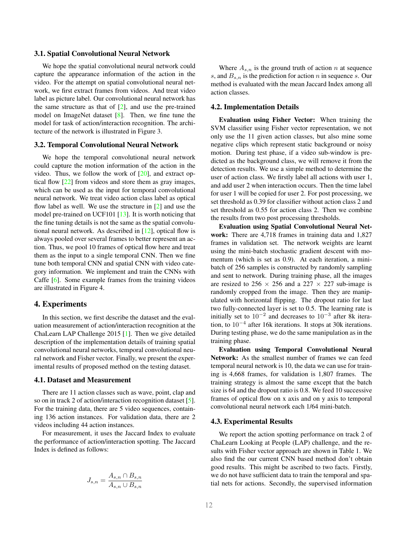#### 3.1. Spatial Convolutional Neural Network

We hope the spatial convolutional neural network could capture the appearance information of the action in the video. For the attempt on spatial convolutional neural network, we first extract frames from videos. And treat video label as picture label. Our convolutional neural network has the same structure as that of  $[2]$ , and use the pre-trained model on ImageNet dataset [8]. Then, we fine tune the model for task of action/interaction recognition. The architecture of the network is illustrated in Figure 3.

#### 3.2. Temporal Convolutional Neural Network

We hope the temporal convolutional neural network could capture the motion information of the action in the video. Thus, we follow the work of  $[20]$ , and extract optical flow [22] from videos and store them as gray images, which can be used as the input for temporal convolutional neural network. We treat video action class label as optical flow label as well. We use the structure in [2] and use the model pre-trained on UCF101 [13]. It is worth noticing that the fine tuning details is not the same as the spatial convolutional neural network. As described in [12], optical flow is always pooled over several frames to better represent an action. Thus, we pool 10 frames of optical flow here and treat them as the input to a single temporal CNN. Then we fine tune both temporal CNN and spatial CNN with video category information. We implement and train the CNNs with Caffe [6]. Some example frames from the training videos are illustrated in Figure 4.

### 4. Experiments

In this section, we first describe the dataset and the evaluation measurement of action/interaction recognition at the ChaLearn LAP Challenge 2015 [1]. Then we give detailed description of the implementation details of training spatial convolutional neural networks, temporal convolutional neural network and Fisher vector. Finally, we present the experimental results of proposed method on the testing dataset.

#### 4.1. Dataset and Measurement

There are 11 action classes such as wave, point, clap and so on in track 2 of action/interaction recognition dataset [5]. For the training data, there are 5 video sequences, containing 136 action instances. For validation data, there are 2 videos including 44 action instances.

For measurement, it uses the Jaccard Index to evaluate the performance of action/interaction spotting. The Jaccard Index is defined as follows:

$$
J_{s,n} = \frac{A_{s,n} \cap B_{s,n}}{A_{s,n} \cup B_{s,n}}
$$

Where  $A_{s,n}$  is the ground truth of action *n* at sequence *s*, and *Bs,n* is the prediction for action *n* in sequence *s*. Our method is evaluated with the mean Jaccard Index among all action classes.

#### 4.2. Implementation Details

Evaluation using Fisher Vector: When training the SVM classifier using Fisher vector representation, we not only use the 11 given action classes, but also mine some negative clips which represent static background or noisy motion. During test phase, if a video sub-window is predicted as the background class, we will remove it from the detection results. We use a simple method to determine the user of action class. We firstly label all actions with user 1, and add user 2 when interaction occurs. Then the time label for user 1 will be copied for user 2. For post processing, we set threshold as 0.39 for classifier without action class 2 and set threshold as 0.55 for action class 2. Then we combine the results from two post processing thresholds.

Evaluation using Spatial Convolutional Neural Network: There are 4,718 frames in training data and 1,827 frames in validation set. The network weights are learnt using the mini-batch stochastic gradient descent with momentum (which is set as 0.9). At each iteration, a minibatch of 256 samples is constructed by randomly sampling and sent to network. During training phase, all the images are resized to 256  $\times$  256 and a 227  $\times$  227 sub-image is randomly cropped from the image. Then they are manipulated with horizontal flipping. The dropout ratio for last two fully-connected layer is set to 0.5. The learning rate is initially set to 10*−*<sup>2</sup> and decreases to 10*−*<sup>3</sup> after 8k iteration, to 10*−*<sup>4</sup> after 16k iterations. It stops at 30k iterations. During testing phase, we do the same manipulation as in the training phase.

Evaluation using Temporal Convolutional Neural Network: As the smallest number of frames we can feed temporal neural network is 10, the data we can use for training is 4,668 frames, for validation is 1,807 frames. The training strategy is almost the same except that the batch size is 64 and the dropout ratio is 0.8. We feed 10 successive frames of optical flow on x axis and on y axis to temporal convolutional neural network each 1/64 mini-batch.

#### 4.3. Experimental Results

We report the action spotting performance on track 2 of ChaLearn Looking at People (LAP) challenge, and the results with Fisher vector approach are shown in Table 1. We also find the our current CNN based method don't obtain good results. This might be ascribed to two facts. Firstly, we do not have sufficient data to train the temporal and spatial nets for actions. Secondly, the supervised information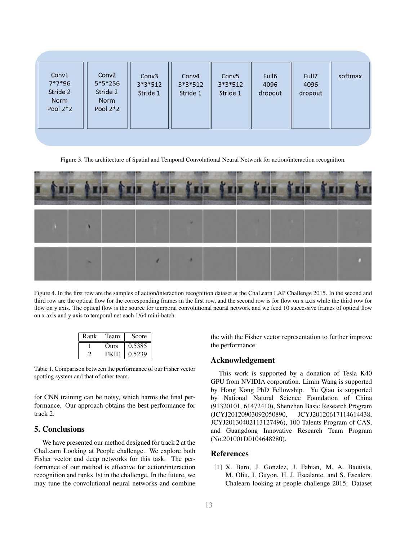|  | Conv1<br>$7*7*96$<br>Stride 2<br>Norm<br>Pool $2*2$ | Conv <sub>2</sub><br>$5*5*256$<br>Stride 2<br>Norm<br>Pool $2*2$ | Conv <sub>3</sub><br>$3*3*512$<br>Stride 1 | Conv4<br>$3*3*512$<br>Stride 1 | Conv <sub>5</sub><br>$3*3*512$<br>Stride 1 | Full6<br>4096<br>dropout | Full7<br>4096<br>dropout | softmax |
|--|-----------------------------------------------------|------------------------------------------------------------------|--------------------------------------------|--------------------------------|--------------------------------------------|--------------------------|--------------------------|---------|
|--|-----------------------------------------------------|------------------------------------------------------------------|--------------------------------------------|--------------------------------|--------------------------------------------|--------------------------|--------------------------|---------|

Figure 3. The architecture of Spatial and Temporal Convolutional Neural Network for action/interaction recognition.



Figure 4. In the first row are the samples of action/interaction recognition dataset at the ChaLearn LAP Challenge 2015. In the second and third row are the optical flow for the corresponding frames in the first row, and the second row is for flow on x axis while the third row for flow on y axis. The optical flow is the source for temporal convolutional neural network and we feed 10 successive frames of optical flow on x axis and y axis to temporal net each 1/64 mini-batch.

| Rank | Team        | Score  |
|------|-------------|--------|
|      | <b>Ours</b> | 0.5385 |
|      | <b>FKIE</b> | 0.5239 |

Table 1. Comparison between the performance of our Fisher vector spotting system and that of other team.

for CNN training can be noisy, which harms the final performance. Our approach obtains the best performance for track 2.

# 5. Conclusions

We have presented our method designed for track 2 at the ChaLearn Looking at People challenge. We explore both Fisher vector and deep networks for this task. The performance of our method is effective for action/interaction recognition and ranks 1st in the challenge. In the future, we may tune the convolutional neural networks and combine

the with the Fisher vector representation to further improve the performance.

### Acknowledgement

This work is supported by a donation of Tesla K40 GPU from NVIDIA corporation. Limin Wang is supported by Hong Kong PhD Fellowship. Yu Qiao is supported by National Natural Science Foundation of China (91320101, 61472410), Shenzhen Basic Research Program (JCYJ20120903092050890, JCYJ20120617114614438, JCYJ20130402113127496), 100 Talents Program of CAS, and Guangdong Innovative Research Team Program (No.201001D0104648280).

## References

[1] X. Baro, J. Gonzlez, J. Fabian, M. A. Bautista, M. Oliu, I. Guyon, H. J. Escalante, and S. Escalers. Chalearn looking at people challenge 2015: Dataset